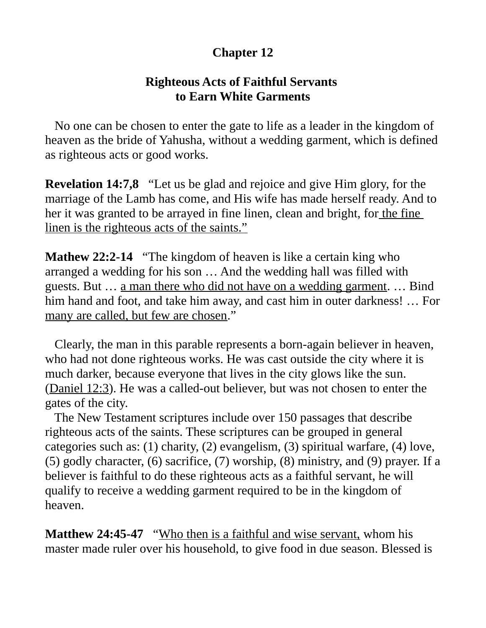# **Chapter 12**

### **Righteous Acts of Faithful Servants to Earn White Garments**

 No one can be chosen to enter the gate to life as a leader in the kingdom of heaven as the bride of Yahusha, without a wedding garment, which is defined as righteous acts or good works.

**Revelation 14:7,8** "Let us be glad and rejoice and give Him glory, for the marriage of the Lamb has come, and His wife has made herself ready. And to her it was granted to be arrayed in fine linen, clean and bright, for the fine linen is the righteous acts of the saints."

**Mathew 22:2-14** "The kingdom of heaven is like a certain king who arranged a wedding for his son … And the wedding hall was filled with guests. But … a man there who did not have on a wedding garment. … Bind him hand and foot, and take him away, and cast him in outer darkness! … For many are called, but few are chosen."

 Clearly, the man in this parable represents a born-again believer in heaven, who had not done righteous works. He was cast outside the city where it is much darker, because everyone that lives in the city glows like the sun. (Daniel 12:3). He was a called-out believer, but was not chosen to enter the gates of the city.

 The New Testament scriptures include over 150 passages that describe righteous acts of the saints. These scriptures can be grouped in general categories such as: (1) charity, (2) evangelism, (3) spiritual warfare, (4) love, (5) godly character, (6) sacrifice, (7) worship, (8) ministry, and (9) prayer. If a believer is faithful to do these righteous acts as a faithful servant, he will qualify to receive a wedding garment required to be in the kingdom of heaven.

**Matthew 24:45-47** "Who then is a faithful and wise servant, whom his master made ruler over his household, to give food in due season. Blessed is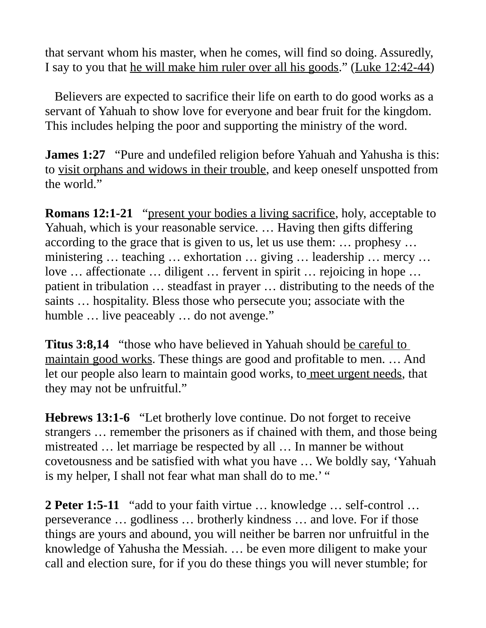that servant whom his master, when he comes, will find so doing. Assuredly, I say to you that he will make him ruler over all his goods." (Luke 12:42-44)

 Believers are expected to sacrifice their life on earth to do good works as a servant of Yahuah to show love for everyone and bear fruit for the kingdom. This includes helping the poor and supporting the ministry of the word.

**James 1:27** "Pure and undefiled religion before Yahuah and Yahusha is this: to visit orphans and widows in their trouble, and keep oneself unspotted from the world."

**Romans 12:1-21** "present your bodies a living sacrifice, holy, acceptable to Yahuah, which is your reasonable service. … Having then gifts differing according to the grace that is given to us, let us use them: … prophesy … ministering … teaching … exhortation … giving … leadership … mercy … love … affectionate … diligent … fervent in spirit … rejoicing in hope … patient in tribulation … steadfast in prayer … distributing to the needs of the saints … hospitality. Bless those who persecute you; associate with the humble ... live peaceably ... do not avenge."

**Titus 3:8,14** "those who have believed in Yahuah should be careful to maintain good works. These things are good and profitable to men. … And let our people also learn to maintain good works, to meet urgent needs, that they may not be unfruitful."

**Hebrews 13:1-6** "Let brotherly love continue. Do not forget to receive strangers … remember the prisoners as if chained with them, and those being mistreated … let marriage be respected by all … In manner be without covetousness and be satisfied with what you have … We boldly say, 'Yahuah is my helper, I shall not fear what man shall do to me.' "

**2 Peter 1:5-11** "add to your faith virtue … knowledge … self-control … perseverance … godliness … brotherly kindness … and love. For if those things are yours and abound, you will neither be barren nor unfruitful in the knowledge of Yahusha the Messiah. … be even more diligent to make your call and election sure, for if you do these things you will never stumble; for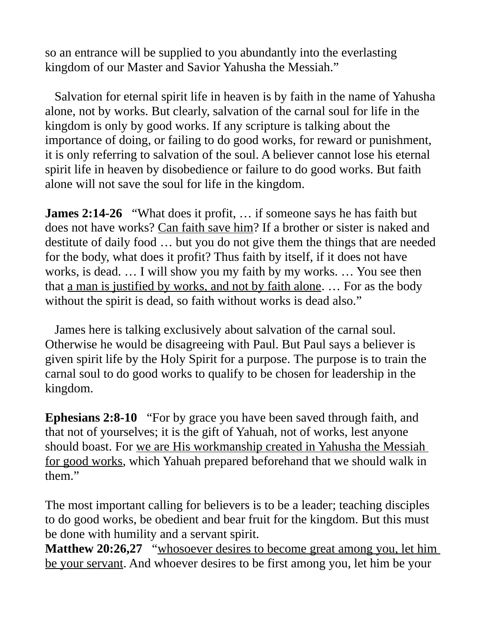so an entrance will be supplied to you abundantly into the everlasting kingdom of our Master and Savior Yahusha the Messiah."

 Salvation for eternal spirit life in heaven is by faith in the name of Yahusha alone, not by works. But clearly, salvation of the carnal soul for life in the kingdom is only by good works. If any scripture is talking about the importance of doing, or failing to do good works, for reward or punishment, it is only referring to salvation of the soul. A believer cannot lose his eternal spirit life in heaven by disobedience or failure to do good works. But faith alone will not save the soul for life in the kingdom.

**James 2:14-26** "What does it profit, … if someone says he has faith but does not have works? Can faith save him? If a brother or sister is naked and destitute of daily food … but you do not give them the things that are needed for the body, what does it profit? Thus faith by itself, if it does not have works, is dead. … I will show you my faith by my works. … You see then that <u>a man is justified by works, and not by faith alone</u>. ... For as the body without the spirit is dead, so faith without works is dead also."

 James here is talking exclusively about salvation of the carnal soul. Otherwise he would be disagreeing with Paul. But Paul says a believer is given spirit life by the Holy Spirit for a purpose. The purpose is to train the carnal soul to do good works to qualify to be chosen for leadership in the kingdom.

**Ephesians 2:8-10** "For by grace you have been saved through faith, and that not of yourselves; it is the gift of Yahuah, not of works, lest anyone should boast. For we are His workmanship created in Yahusha the Messiah for good works, which Yahuah prepared beforehand that we should walk in them."

The most important calling for believers is to be a leader; teaching disciples to do good works, be obedient and bear fruit for the kingdom. But this must be done with humility and a servant spirit.

**Matthew 20:26,27** "whosoever desires to become great among you, let him be your servant. And whoever desires to be first among you, let him be your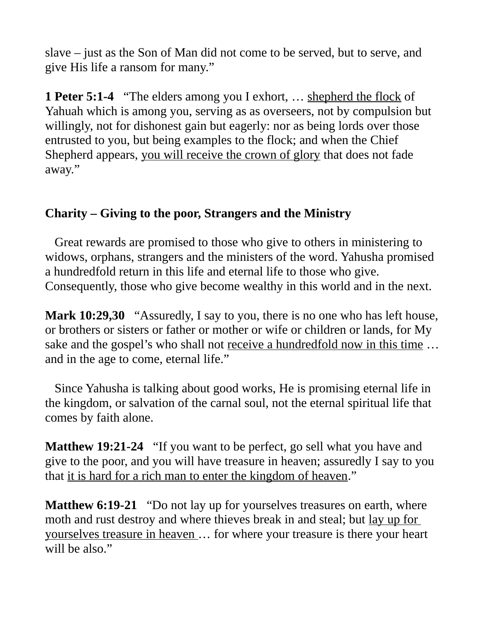slave – just as the Son of Man did not come to be served, but to serve, and give His life a ransom for many."

**1 Peter 5:1-4** "The elders among you I exhort, … shepherd the flock of Yahuah which is among you, serving as as overseers, not by compulsion but willingly, not for dishonest gain but eagerly: nor as being lords over those entrusted to you, but being examples to the flock; and when the Chief Shepherd appears, you will receive the crown of glory that does not fade away."

# **Charity – Giving to the poor, Strangers and the Ministry**

 Great rewards are promised to those who give to others in ministering to widows, orphans, strangers and the ministers of the word. Yahusha promised a hundredfold return in this life and eternal life to those who give. Consequently, those who give become wealthy in this world and in the next.

**Mark 10:29,30** "Assuredly, I say to you, there is no one who has left house, or brothers or sisters or father or mother or wife or children or lands, for My sake and the gospel's who shall not receive a hundredfold now in this time ... and in the age to come, eternal life."

 Since Yahusha is talking about good works, He is promising eternal life in the kingdom, or salvation of the carnal soul, not the eternal spiritual life that comes by faith alone.

**Matthew 19:21-24** "If you want to be perfect, go sell what you have and give to the poor, and you will have treasure in heaven; assuredly I say to you that it is hard for a rich man to enter the kingdom of heaven."

**Matthew 6:19-21** "Do not lay up for yourselves treasures on earth, where moth and rust destroy and where thieves break in and steal; but lay up for yourselves treasure in heaven … for where your treasure is there your heart will be also."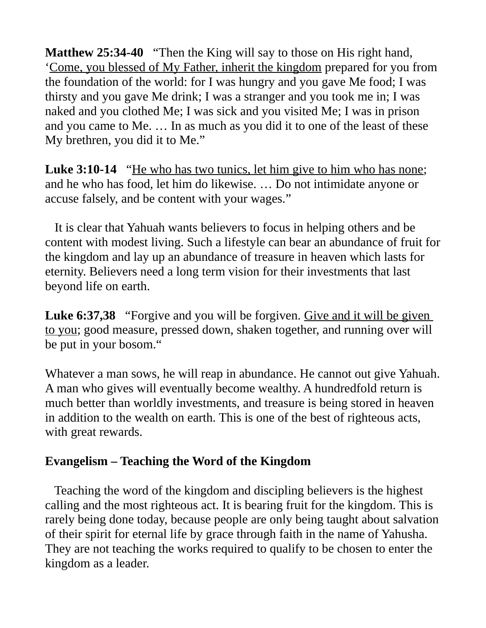**Matthew 25:34-40** "Then the King will say to those on His right hand, 'Come, you blessed of My Father, inherit the kingdom prepared for you from the foundation of the world: for I was hungry and you gave Me food; I was thirsty and you gave Me drink; I was a stranger and you took me in; I was naked and you clothed Me; I was sick and you visited Me; I was in prison and you came to Me. … In as much as you did it to one of the least of these My brethren, you did it to Me."

**Luke 3:10-14** "He who has two tunics, let him give to him who has none; and he who has food, let him do likewise. … Do not intimidate anyone or accuse falsely, and be content with your wages."

 It is clear that Yahuah wants believers to focus in helping others and be content with modest living. Such a lifestyle can bear an abundance of fruit for the kingdom and lay up an abundance of treasure in heaven which lasts for eternity. Believers need a long term vision for their investments that last beyond life on earth.

**Luke 6:37,38** "Forgive and you will be forgiven. Give and it will be given to you; good measure, pressed down, shaken together, and running over will be put in your bosom."

Whatever a man sows, he will reap in abundance. He cannot out give Yahuah. A man who gives will eventually become wealthy. A hundredfold return is much better than worldly investments, and treasure is being stored in heaven in addition to the wealth on earth. This is one of the best of righteous acts, with great rewards.

## **Evangelism – Teaching the Word of the Kingdom**

 Teaching the word of the kingdom and discipling believers is the highest calling and the most righteous act. It is bearing fruit for the kingdom. This is rarely being done today, because people are only being taught about salvation of their spirit for eternal life by grace through faith in the name of Yahusha. They are not teaching the works required to qualify to be chosen to enter the kingdom as a leader.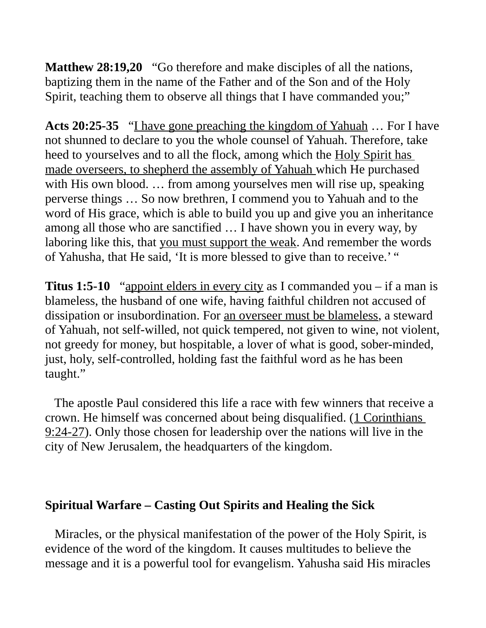**Matthew 28:19,20** "Go therefore and make disciples of all the nations, baptizing them in the name of the Father and of the Son and of the Holy Spirit, teaching them to observe all things that I have commanded you;"

**Acts 20:25-35** "I have gone preaching the kingdom of Yahuah … For I have not shunned to declare to you the whole counsel of Yahuah. Therefore, take heed to yourselves and to all the flock, among which the Holy Spirit has made overseers, to shepherd the assembly of Yahuah which He purchased with His own blood. ... from among yourselves men will rise up, speaking perverse things … So now brethren, I commend you to Yahuah and to the word of His grace, which is able to build you up and give you an inheritance among all those who are sanctified … I have shown you in every way, by laboring like this, that you must support the weak. And remember the words of Yahusha, that He said, 'It is more blessed to give than to receive.' "

**Titus 1:5-10** "appoint elders in every city as I commanded you – if a man is blameless, the husband of one wife, having faithful children not accused of dissipation or insubordination. For an overseer must be blameless, a steward of Yahuah, not self-willed, not quick tempered, not given to wine, not violent, not greedy for money, but hospitable, a lover of what is good, sober-minded, just, holy, self-controlled, holding fast the faithful word as he has been taught."

 The apostle Paul considered this life a race with few winners that receive a crown. He himself was concerned about being disqualified. (1 Corinthians 9:24-27). Only those chosen for leadership over the nations will live in the city of New Jerusalem, the headquarters of the kingdom.

#### **Spiritual Warfare – Casting Out Spirits and Healing the Sick**

 Miracles, or the physical manifestation of the power of the Holy Spirit, is evidence of the word of the kingdom. It causes multitudes to believe the message and it is a powerful tool for evangelism. Yahusha said His miracles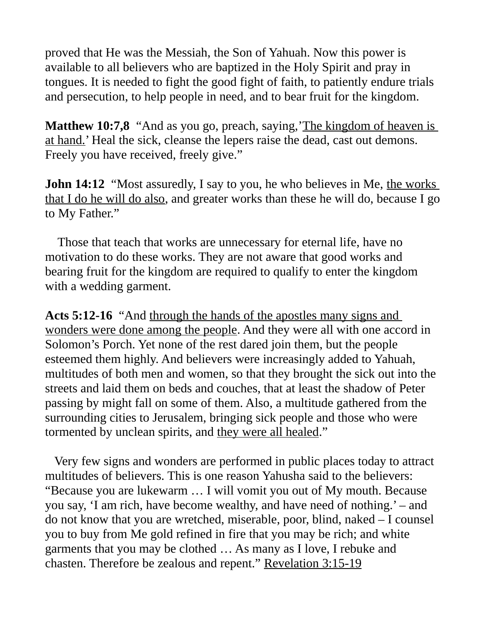proved that He was the Messiah, the Son of Yahuah. Now this power is available to all believers who are baptized in the Holy Spirit and pray in tongues. It is needed to fight the good fight of faith, to patiently endure trials and persecution, to help people in need, and to bear fruit for the kingdom.

**Matthew 10:7,8** "And as you go, preach, saying, The kingdom of heaven is at hand.' Heal the sick, cleanse the lepers raise the dead, cast out demons. Freely you have received, freely give."

**John 14:12** "Most assuredly, I say to you, he who believes in Me, the works that I do he will do also, and greater works than these he will do, because I go to My Father."

 Those that teach that works are unnecessary for eternal life, have no motivation to do these works. They are not aware that good works and bearing fruit for the kingdom are required to qualify to enter the kingdom with a wedding garment.

**Acts 5:12-16** "And through the hands of the apostles many signs and wonders were done among the people. And they were all with one accord in Solomon's Porch. Yet none of the rest dared join them, but the people esteemed them highly. And believers were increasingly added to Yahuah, multitudes of both men and women, so that they brought the sick out into the streets and laid them on beds and couches, that at least the shadow of Peter passing by might fall on some of them. Also, a multitude gathered from the surrounding cities to Jerusalem, bringing sick people and those who were tormented by unclean spirits, and they were all healed."

 Very few signs and wonders are performed in public places today to attract multitudes of believers. This is one reason Yahusha said to the believers: "Because you are lukewarm … I will vomit you out of My mouth. Because you say, 'I am rich, have become wealthy, and have need of nothing.' – and do not know that you are wretched, miserable, poor, blind, naked – I counsel you to buy from Me gold refined in fire that you may be rich; and white garments that you may be clothed … As many as I love, I rebuke and chasten. Therefore be zealous and repent." Revelation 3:15-19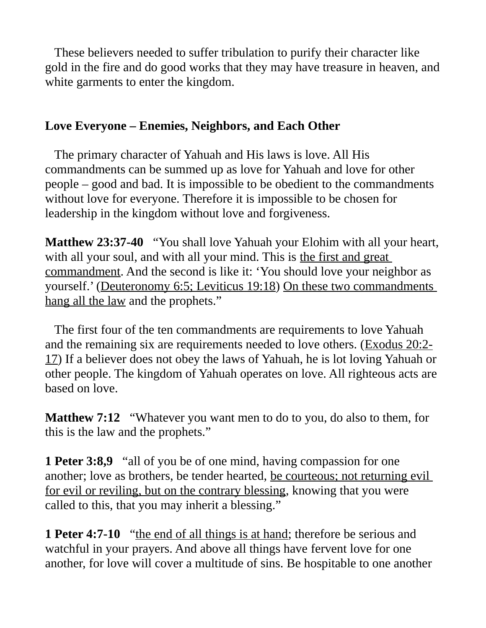These believers needed to suffer tribulation to purify their character like gold in the fire and do good works that they may have treasure in heaven, and white garments to enter the kingdom.

## **Love Everyone – Enemies, Neighbors, and Each Other**

 The primary character of Yahuah and His laws is love. All His commandments can be summed up as love for Yahuah and love for other people – good and bad. It is impossible to be obedient to the commandments without love for everyone. Therefore it is impossible to be chosen for leadership in the kingdom without love and forgiveness.

**Matthew 23:37-40** "You shall love Yahuah your Elohim with all your heart, with all your soul, and with all your mind. This is the first and great commandment. And the second is like it: 'You should love your neighbor as yourself.' (Deuteronomy 6:5; Leviticus 19:18) On these two commandments hang all the law and the prophets."

 The first four of the ten commandments are requirements to love Yahuah and the remaining six are requirements needed to love others. (Exodus 20:2- 17) If a believer does not obey the laws of Yahuah, he is lot loving Yahuah or other people. The kingdom of Yahuah operates on love. All righteous acts are based on love.

**Matthew 7:12** "Whatever you want men to do to you, do also to them, for this is the law and the prophets."

**1 Peter 3:8,9** "all of you be of one mind, having compassion for one another; love as brothers, be tender hearted, be courteous; not returning evil for evil or reviling, but on the contrary blessing, knowing that you were called to this, that you may inherit a blessing."

**1 Peter 4:7-10** "the end of all things is at hand; therefore be serious and watchful in your prayers. And above all things have fervent love for one another, for love will cover a multitude of sins. Be hospitable to one another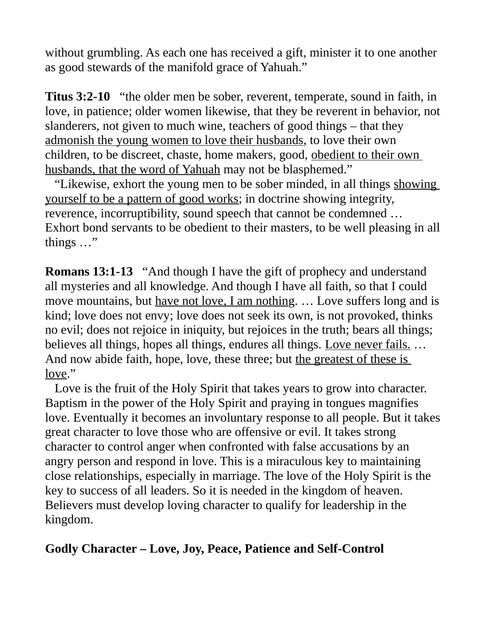without grumbling. As each one has received a gift, minister it to one another as good stewards of the manifold grace of Yahuah."

**Titus 3:2-10** "the older men be sober, reverent, temperate, sound in faith, in love, in patience; older women likewise, that they be reverent in behavior, not slanderers, not given to much wine, teachers of good things – that they admonish the young women to love their husbands, to love their own children, to be discreet, chaste, home makers, good, obedient to their own husbands, that the word of Yahuah may not be blasphemed."

 "Likewise, exhort the young men to be sober minded, in all things showing yourself to be a pattern of good works; in doctrine showing integrity, reverence, incorruptibility, sound speech that cannot be condemned … Exhort bond servants to be obedient to their masters, to be well pleasing in all things …"

**Romans 13:1-13** "And though I have the gift of prophecy and understand all mysteries and all knowledge. And though I have all faith, so that I could move mountains, but have not love, I am nothing. … Love suffers long and is kind; love does not envy; love does not seek its own, is not provoked, thinks no evil; does not rejoice in iniquity, but rejoices in the truth; bears all things; believes all things, hopes all things, endures all things. Love never fails. ... And now abide faith, hope, love, these three; but the greatest of these is love."

 Love is the fruit of the Holy Spirit that takes years to grow into character. Baptism in the power of the Holy Spirit and praying in tongues magnifies love. Eventually it becomes an involuntary response to all people. But it takes great character to love those who are offensive or evil. It takes strong character to control anger when confronted with false accusations by an angry person and respond in love. This is a miraculous key to maintaining close relationships, especially in marriage. The love of the Holy Spirit is the key to success of all leaders. So it is needed in the kingdom of heaven. Believers must develop loving character to qualify for leadership in the kingdom.

## **Godly Character – Love, Joy, Peace, Patience and Self-Control**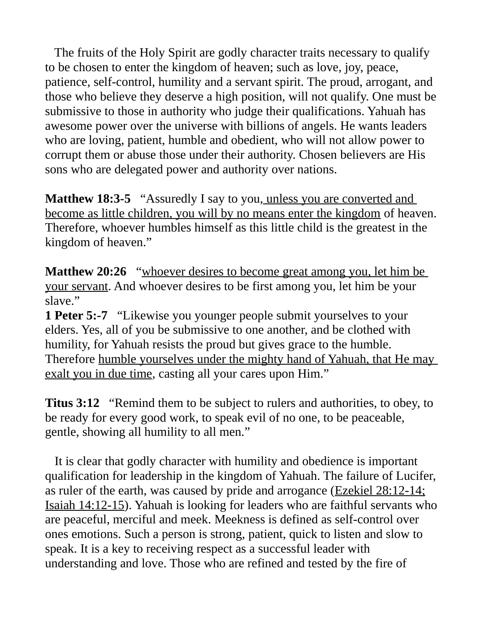The fruits of the Holy Spirit are godly character traits necessary to qualify to be chosen to enter the kingdom of heaven; such as love, joy, peace, patience, self-control, humility and a servant spirit. The proud, arrogant, and those who believe they deserve a high position, will not qualify. One must be submissive to those in authority who judge their qualifications. Yahuah has awesome power over the universe with billions of angels. He wants leaders who are loving, patient, humble and obedient, who will not allow power to corrupt them or abuse those under their authority. Chosen believers are His sons who are delegated power and authority over nations.

**Matthew 18:3-5** "Assuredly I say to you, unless you are converted and become as little children, you will by no means enter the kingdom of heaven. Therefore, whoever humbles himself as this little child is the greatest in the kingdom of heaven."

**Matthew 20:26** "whoever desires to become great among you, let him be your servant. And whoever desires to be first among you, let him be your slave."

**1 Peter 5:-7** "Likewise you younger people submit yourselves to your elders. Yes, all of you be submissive to one another, and be clothed with humility, for Yahuah resists the proud but gives grace to the humble. Therefore humble yourselves under the mighty hand of Yahuah, that He may exalt you in due time, casting all your cares upon Him."

**Titus 3:12** "Remind them to be subject to rulers and authorities, to obey, to be ready for every good work, to speak evil of no one, to be peaceable, gentle, showing all humility to all men."

 It is clear that godly character with humility and obedience is important qualification for leadership in the kingdom of Yahuah. The failure of Lucifer, as ruler of the earth, was caused by pride and arrogance ( $Exekiel$   $28:12-14$ ; Isaiah 14:12-15). Yahuah is looking for leaders who are faithful servants who are peaceful, merciful and meek. Meekness is defined as self-control over ones emotions. Such a person is strong, patient, quick to listen and slow to speak. It is a key to receiving respect as a successful leader with understanding and love. Those who are refined and tested by the fire of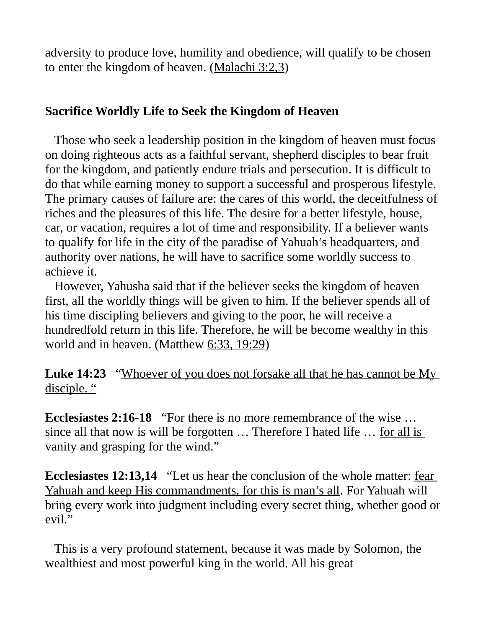adversity to produce love, humility and obedience, will qualify to be chosen to enter the kingdom of heaven. (Malachi 3:2,3)

### **Sacrifice Worldly Life to Seek the Kingdom of Heaven**

 Those who seek a leadership position in the kingdom of heaven must focus on doing righteous acts as a faithful servant, shepherd disciples to bear fruit for the kingdom, and patiently endure trials and persecution. It is difficult to do that while earning money to support a successful and prosperous lifestyle. The primary causes of failure are: the cares of this world, the deceitfulness of riches and the pleasures of this life. The desire for a better lifestyle, house, car, or vacation, requires a lot of time and responsibility. If a believer wants to qualify for life in the city of the paradise of Yahuah's headquarters, and authority over nations, he will have to sacrifice some worldly success to achieve it.

 However, Yahusha said that if the believer seeks the kingdom of heaven first, all the worldly things will be given to him. If the believer spends all of his time discipling believers and giving to the poor, he will receive a hundredfold return in this life. Therefore, he will be become wealthy in this world and in heaven. (Matthew 6:33, 19:29)

**Luke 14:23** "Whoever of you does not forsake all that he has cannot be My disciple. "

**Ecclesiastes 2:16-18** "For there is no more remembrance of the wise … since all that now is will be forgotten ... Therefore I hated life ... for all is vanity and grasping for the wind."

**Ecclesiastes 12:13,14** "Let us hear the conclusion of the whole matter: fear Yahuah and keep His commandments, for this is man's all. For Yahuah will bring every work into judgment including every secret thing, whether good or evil."

 This is a very profound statement, because it was made by Solomon, the wealthiest and most powerful king in the world. All his great